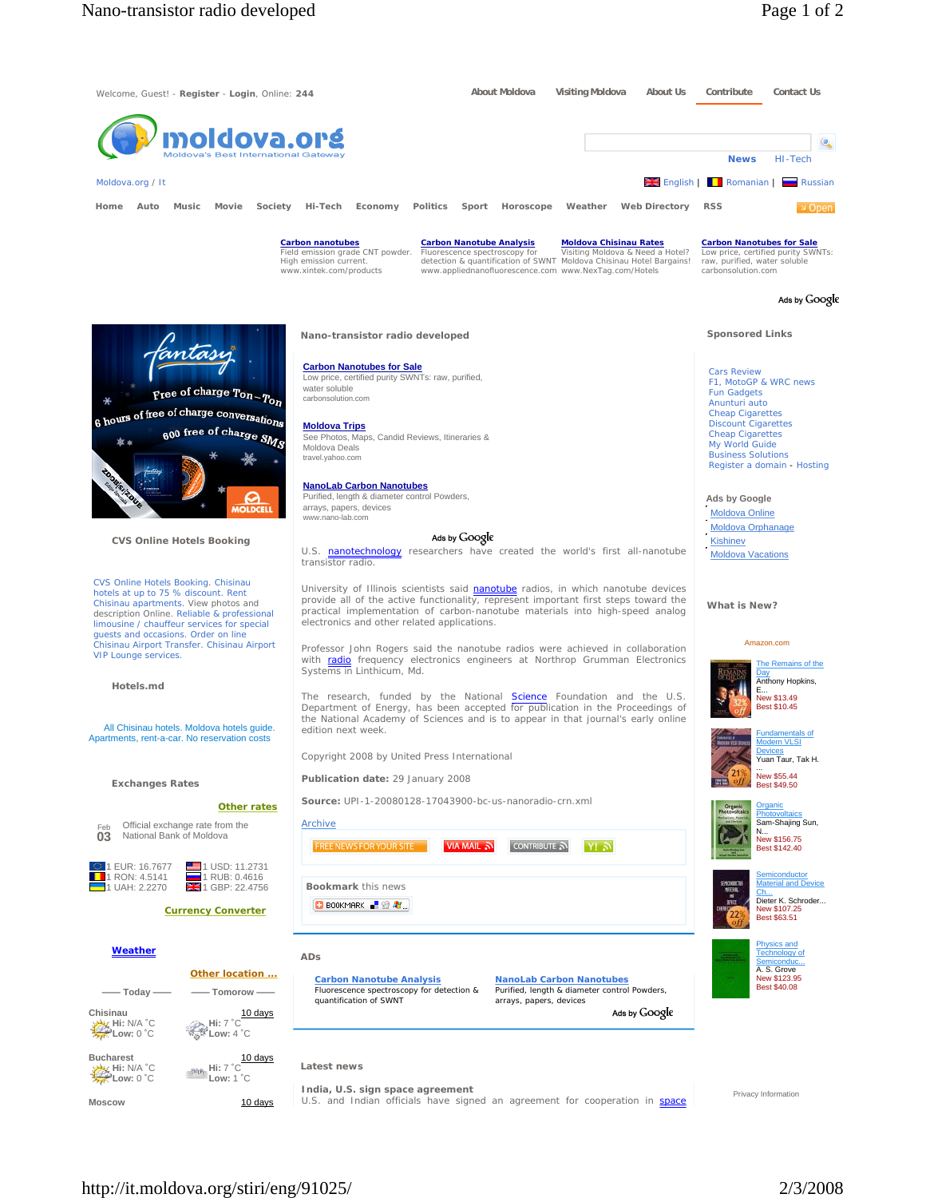